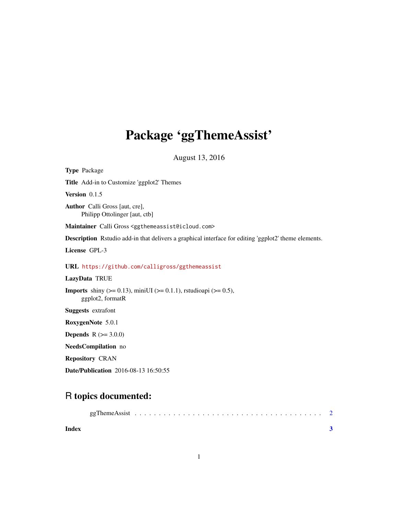## Package 'ggThemeAssist'

August 13, 2016

Type Package Title Add-in to Customize 'ggplot2' Themes Version 0.1.5 Author Calli Gross [aut, cre], Philipp Ottolinger [aut, ctb] Maintainer Calli Gross <ggthemeassist@icloud.com> Description Rstudio add-in that delivers a graphical interface for editing 'ggplot2' theme elements. License GPL-3 URL <https://github.com/calligross/ggthemeassist> LazyData TRUE **Imports** shiny ( $>= 0.13$ ), miniUI ( $>= 0.1.1$ ), rstudioapi ( $>= 0.5$ ), ggplot2, formatR Suggests extrafont RoxygenNote 5.0.1 **Depends**  $R (= 3.0.0)$ NeedsCompilation no Repository CRAN

Date/Publication 2016-08-13 16:50:55

### R topics documented:

| Index |  |  |  |  |  |  |  |  |  |  |  |  |  |  |
|-------|--|--|--|--|--|--|--|--|--|--|--|--|--|--|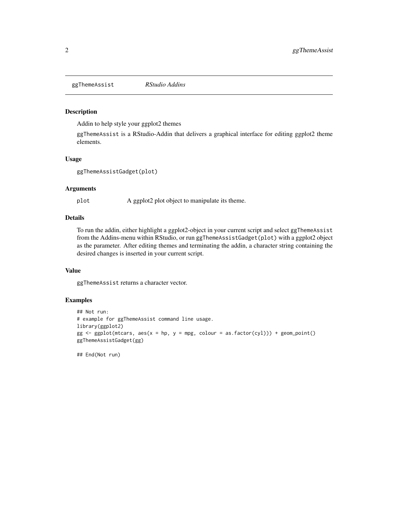<span id="page-1-0"></span>ggThemeAssist *RStudio Addins*

#### Description

Addin to help style your ggplot2 themes

ggThemeAssist is a RStudio-Addin that delivers a graphical interface for editing ggplot2 theme elements.

#### Usage

ggThemeAssistGadget(plot)

#### Arguments

plot A ggplot2 plot object to manipulate its theme.

#### Details

To run the addin, either highlight a ggplot2-object in your current script and select ggThemeAssist from the Addins-menu within RStudio, or run ggThemeAssistGadget(plot) with a ggplot2 object as the parameter. After editing themes and terminating the addin, a character string containing the desired changes is inserted in your current script.

#### Value

ggThemeAssist returns a character vector.

#### Examples

```
## Not run:
# example for ggThemeAssist command line usage.
library(ggplot2)
gg \leq - ggplot(mtcars, aes(x = hp, y = mpg, colour = as.factor(cyl))) + geom-point()ggThemeAssistGadget(gg)
```
## End(Not run)